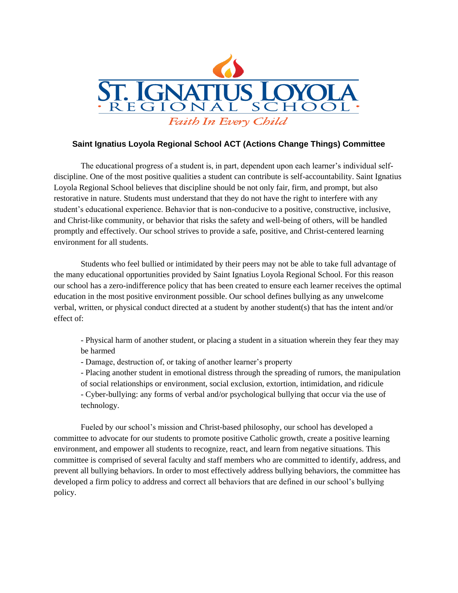

## **Saint Ignatius Loyola Regional School ACT (Actions Change Things) Committee**

The educational progress of a student is, in part, dependent upon each learner's individual selfdiscipline. One of the most positive qualities a student can contribute is self-accountability. Saint Ignatius Loyola Regional School believes that discipline should be not only fair, firm, and prompt, but also restorative in nature. Students must understand that they do not have the right to interfere with any student's educational experience. Behavior that is non-conducive to a positive, constructive, inclusive, and Christ-like community, or behavior that risks the safety and well-being of others, will be handled promptly and effectively. Our school strives to provide a safe, positive, and Christ-centered learning environment for all students.

Students who feel bullied or intimidated by their peers may not be able to take full advantage of the many educational opportunities provided by Saint Ignatius Loyola Regional School. For this reason our school has a zero-indifference policy that has been created to ensure each learner receives the optimal education in the most positive environment possible. Our school defines bullying as any unwelcome verbal, written, or physical conduct directed at a student by another student(s) that has the intent and/or effect of:

- Physical harm of another student, or placing a student in a situation wherein they fear they may be harmed

- Damage, destruction of, or taking of another learner's property

- Placing another student in emotional distress through the spreading of rumors, the manipulation of social relationships or environment, social exclusion, extortion, intimidation, and ridicule - Cyber-bullying: any forms of verbal and/or psychological bullying that occur via the use of technology.

Fueled by our school's mission and Christ-based philosophy, our school has developed a committee to advocate for our students to promote positive Catholic growth, create a positive learning environment, and empower all students to recognize, react, and learn from negative situations. This committee is comprised of several faculty and staff members who are committed to identify, address, and prevent all bullying behaviors. In order to most effectively address bullying behaviors, the committee has developed a firm policy to address and correct all behaviors that are defined in our school's bullying policy.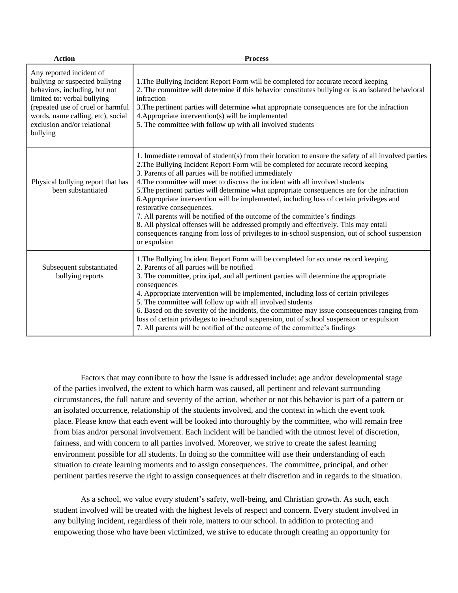| <b>Action</b>                                                                                                                                                                                                                                   | <b>Process</b>                                                                                                                                                                                                                                                                                                                                                                                                                                                                                                                                                                                                                                                                                                                                                                                                                                         |
|-------------------------------------------------------------------------------------------------------------------------------------------------------------------------------------------------------------------------------------------------|--------------------------------------------------------------------------------------------------------------------------------------------------------------------------------------------------------------------------------------------------------------------------------------------------------------------------------------------------------------------------------------------------------------------------------------------------------------------------------------------------------------------------------------------------------------------------------------------------------------------------------------------------------------------------------------------------------------------------------------------------------------------------------------------------------------------------------------------------------|
| Any reported incident of<br>bullying or suspected bullying<br>behaviors, including, but not<br>limited to: verbal bullying<br>(repeated use of cruel or harmful<br>words, name calling, etc), social<br>exclusion and/or relational<br>bullying | 1. The Bullying Incident Report Form will be completed for accurate record keeping<br>2. The committee will determine if this behavior constitutes bullying or is an isolated behavioral<br>infraction<br>3. The pertinent parties will determine what appropriate consequences are for the infraction<br>4. Appropriate intervention(s) will be implemented<br>5. The committee with follow up with all involved students                                                                                                                                                                                                                                                                                                                                                                                                                             |
| Physical bullying report that has<br>been substantiated                                                                                                                                                                                         | 1. Immediate removal of student(s) from their location to ensure the safety of all involved parties<br>2. The Bullying Incident Report Form will be completed for accurate record keeping<br>3. Parents of all parties will be notified immediately<br>4. The committee will meet to discuss the incident with all involved students<br>5. The pertinent parties will determine what appropriate consequences are for the infraction<br>6. Appropriate intervention will be implemented, including loss of certain privileges and<br>restorative consequences.<br>7. All parents will be notified of the outcome of the committee's findings<br>8. All physical offenses will be addressed promptly and effectively. This may entail<br>consequences ranging from loss of privileges to in-school suspension, out of school suspension<br>or expulsion |
| Subsequent substantiated<br>bullying reports                                                                                                                                                                                                    | 1. The Bullying Incident Report Form will be completed for accurate record keeping<br>2. Parents of all parties will be notified<br>3. The committee, principal, and all pertinent parties will determine the appropriate<br>consequences<br>4. Appropriate intervention will be implemented, including loss of certain privileges<br>5. The committee will follow up with all involved students<br>6. Based on the severity of the incidents, the committee may issue consequences ranging from<br>loss of certain privileges to in-school suspension, out of school suspension or expulsion<br>7. All parents will be notified of the outcome of the committee's findings                                                                                                                                                                            |

Factors that may contribute to how the issue is addressed include: age and/or developmental stage of the parties involved, the extent to which harm was caused, all pertinent and relevant surrounding circumstances, the full nature and severity of the action, whether or not this behavior is part of a pattern or an isolated occurrence, relationship of the students involved, and the context in which the event took place. Please know that each event will be looked into thoroughly by the committee, who will remain free from bias and/or personal involvement. Each incident will be handled with the utmost level of discretion, fairness, and with concern to all parties involved. Moreover, we strive to create the safest learning environment possible for all students. In doing so the committee will use their understanding of each situation to create learning moments and to assign consequences. The committee, principal, and other pertinent parties reserve the right to assign consequences at their discretion and in regards to the situation.

As a school, we value every student's safety, well-being, and Christian growth. As such, each student involved will be treated with the highest levels of respect and concern. Every student involved in any bullying incident, regardless of their role, matters to our school. In addition to protecting and empowering those who have been victimized, we strive to educate through creating an opportunity for